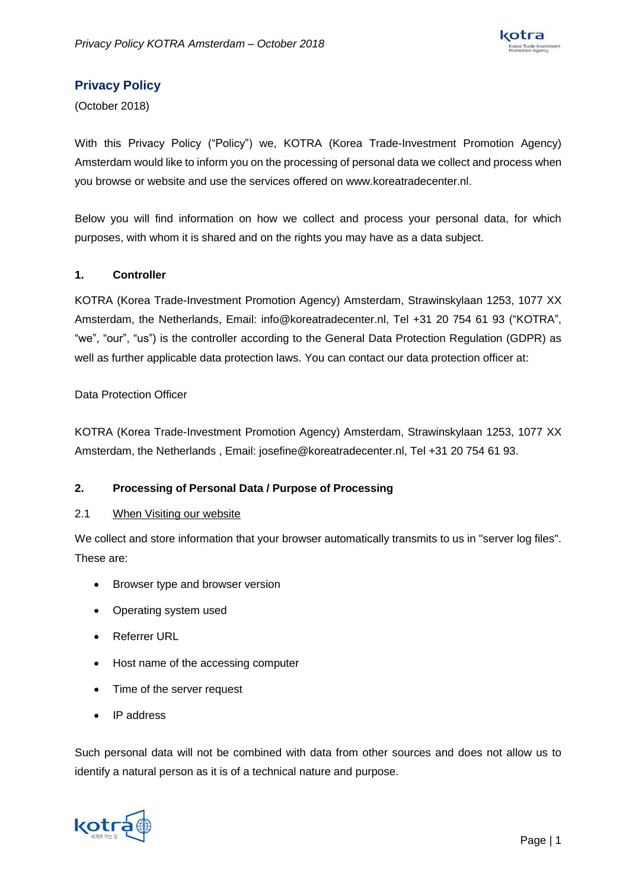

# **Privacy Policy**

(October 2018)

With this Privacy Policy ("Policy") we, KOTRA (Korea Trade-Investment Promotion Agency) Amsterdam would like to inform you on the processing of personal data we collect and process when you browse or website and use the services offered on www.koreatradecenter.nl.

Below you will find information on how we collect and process your personal data, for which purposes, with whom it is shared and on the rights you may have as a data subject.

## **1. Controller**

KOTRA (Korea Trade-Investment Promotion Agency) Amsterdam, Strawinskylaan 1253, 1077 XX Amsterdam, the Netherlands, Email: info@koreatradecenter.nl, Tel +31 20 754 61 93 ("KOTRA", "we", "our", "us") is the controller according to the General Data Protection Regulation (GDPR) as well as further applicable data protection laws. You can contact our data protection officer at:

## Data Protection Officer

KOTRA (Korea Trade-Investment Promotion Agency) Amsterdam, Strawinskylaan 1253, 1077 XX Amsterdam, the Netherlands , Email: josefine@koreatradecenter.nl, Tel +31 20 754 61 93.

# **2. Processing of Personal Data / Purpose of Processing**

#### 2.1 When Visiting our website

We collect and store information that your browser automatically transmits to us in "server log files". These are:

- Browser type and browser version
- Operating system used
- Referrer URL
- Host name of the accessing computer
- Time of the server request
- IP address

Such personal data will not be combined with data from other sources and does not allow us to identify a natural person as it is of a technical nature and purpose.

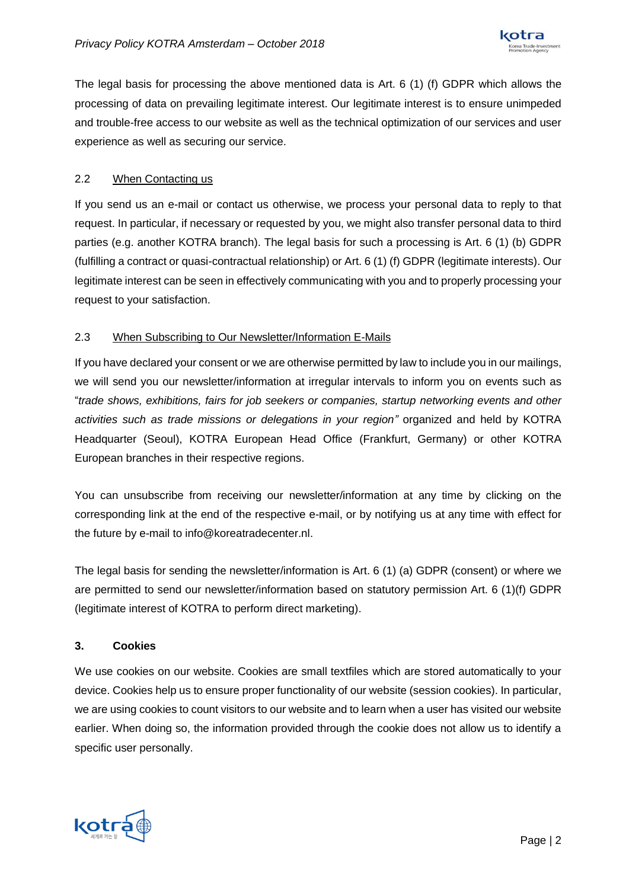

The legal basis for processing the above mentioned data is Art. 6 (1) (f) GDPR which allows the processing of data on prevailing legitimate interest. Our legitimate interest is to ensure unimpeded and trouble-free access to our website as well as the technical optimization of our services and user experience as well as securing our service.

# 2.2 When Contacting us

If you send us an e-mail or contact us otherwise, we process your personal data to reply to that request. In particular, if necessary or requested by you, we might also transfer personal data to third parties (e.g. another KOTRA branch). The legal basis for such a processing is Art. 6 (1) (b) GDPR (fulfilling a contract or quasi-contractual relationship) or Art. 6 (1) (f) GDPR (legitimate interests). Our legitimate interest can be seen in effectively communicating with you and to properly processing your request to your satisfaction.

## 2.3 When Subscribing to Our Newsletter/Information E-Mails

If you have declared your consent or we are otherwise permitted by law to include you in our mailings, we will send you our newsletter/information at irregular intervals to inform you on events such as "*trade shows, exhibitions, fairs for job seekers or companies, startup networking events and other activities such as trade missions or delegations in your region"* organized and held by KOTRA Headquarter (Seoul), KOTRA European Head Office (Frankfurt, Germany) or other KOTRA European branches in their respective regions.

You can unsubscribe from receiving our newsletter/information at any time by clicking on the corresponding link at the end of the respective e-mail, or by notifying us at any time with effect for the future by e-mail to info@koreatradecenter.nl.

The legal basis for sending the newsletter/information is Art. 6 (1) (a) GDPR (consent) or where we are permitted to send our newsletter/information based on statutory permission Art. 6 (1)(f) GDPR (legitimate interest of KOTRA to perform direct marketing).

# **3. Cookies**

We use cookies on our website. Cookies are small textfiles which are stored automatically to your device. Cookies help us to ensure proper functionality of our website (session cookies). In particular, we are using cookies to count visitors to our website and to learn when a user has visited our website earlier. When doing so, the information provided through the cookie does not allow us to identify a specific user personally.

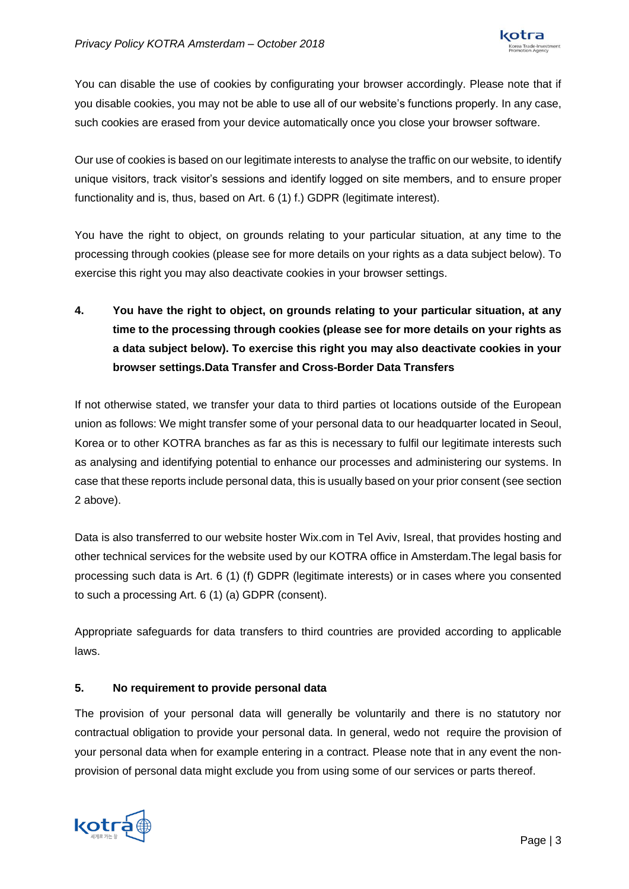

You can disable the use of cookies by configurating your browser accordingly. Please note that if you disable cookies, you may not be able to use all of our website's functions properly. In any case, such cookies are erased from your device automatically once you close your browser software.

Our use of cookies is based on our legitimate interests to analyse the traffic on our website, to identify unique visitors, track visitor's sessions and identify logged on site members, and to ensure proper functionality and is, thus, based on Art. 6 (1) f.) GDPR (legitimate interest).

You have the right to object, on grounds relating to your particular situation, at any time to the processing through cookies (please see for more details on your rights as a data subject below). To exercise this right you may also deactivate cookies in your browser settings.

**4. You have the right to object, on grounds relating to your particular situation, at any time to the processing through cookies (please see for more details on your rights as a data subject below). To exercise this right you may also deactivate cookies in your browser settings.Data Transfer and Cross-Border Data Transfers**

If not otherwise stated, we transfer your data to third parties ot locations outside of the European union as follows: We might transfer some of your personal data to our headquarter located in Seoul, Korea or to other KOTRA branches as far as this is necessary to fulfil our legitimate interests such as analysing and identifying potential to enhance our processes and administering our systems. In case that these reports include personal data, this is usually based on your prior consent (see section 2 above).

Data is also transferred to our website hoster Wix.com in Tel Aviv, Isreal, that provides hosting and other technical services for the website used by our KOTRA office in Amsterdam.The legal basis for processing such data is Art. 6 (1) (f) GDPR (legitimate interests) or in cases where you consented to such a processing Art. 6 (1) (a) GDPR (consent).

Appropriate safeguards for data transfers to third countries are provided according to applicable laws.

# **5. No requirement to provide personal data**

The provision of your personal data will generally be voluntarily and there is no statutory nor contractual obligation to provide your personal data. In general, wedo not require the provision of your personal data when for example entering in a contract. Please note that in any event the nonprovision of personal data might exclude you from using some of our services or parts thereof.